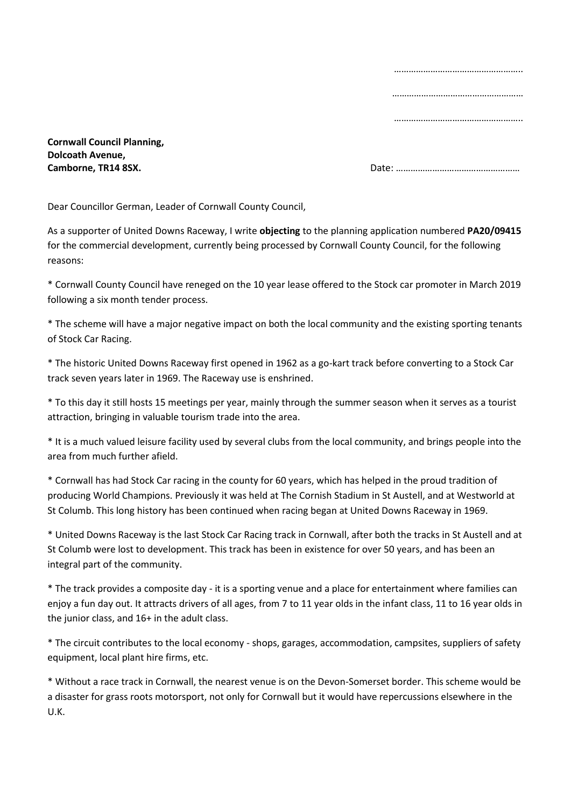…………………………………………….. …………………………………………………… ……………………………………………………

**Cornwall Council Planning, Dolcoath Avenue,** 

**Camborne, TR14 8SX. Date: 2006) Date: 2006 Date: 2006 Date: 2006 Date: 2006 Date: 2006 Date: 2006 Date: 2006 Date: 2006 Date: 2006 Date: 2006 Date: 2006 Date: 2006 Date: 2006 Date: 2006 Dat** 

Dear Councillor German, Leader of Cornwall County Council,

As a supporter of United Downs Raceway, I write **objecting** to the planning application numbered **PA20/09415** for the commercial development, currently being processed by Cornwall County Council, for the following reasons:

\* Cornwall County Council have reneged on the 10 year lease offered to the Stock car promoter in March 2019 following a six month tender process.

\* The scheme will have a major negative impact on both the local community and the existing sporting tenants of Stock Car Racing.

\* The historic United Downs Raceway first opened in 1962 as a go-kart track before converting to a Stock Car track seven years later in 1969. The Raceway use is enshrined.

\* To this day it still hosts 15 meetings per year, mainly through the summer season when it serves as a tourist attraction, bringing in valuable tourism trade into the area.

\* It is a much valued leisure facility used by several clubs from the local community, and brings people into the area from much further afield.

\* Cornwall has had Stock Car racing in the county for 60 years, which has helped in the proud tradition of producing World Champions. Previously it was held at The Cornish Stadium in St Austell, and at Westworld at St Columb. This long history has been continued when racing began at United Downs Raceway in 1969.

\* United Downs Raceway is the last Stock Car Racing track in Cornwall, after both the tracks in St Austell and at St Columb were lost to development. This track has been in existence for over 50 years, and has been an integral part of the community.

\* The track provides a composite day - it is a sporting venue and a place for entertainment where families can enjoy a fun day out. It attracts drivers of all ages, from 7 to 11 year olds in the infant class, 11 to 16 year olds in the junior class, and 16+ in the adult class.

\* The circuit contributes to the local economy - shops, garages, accommodation, campsites, suppliers of safety equipment, local plant hire firms, etc.

\* Without a race track in Cornwall, the nearest venue is on the Devon-Somerset border. This scheme would be a disaster for grass roots motorsport, not only for Cornwall but it would have repercussions elsewhere in the U.K.